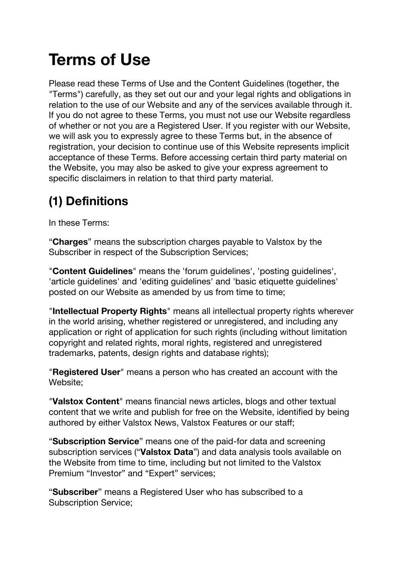# **Terms of Use**

Please read these Terms of Use and the Content Guidelines (together, the "Terms") carefully, as they set out our and your legal rights and obligations in relation to the use of our Website and any of the services available through it. If you do not agree to these Terms, you must not use our Website regardless of whether or not you are a Registered User. If you register with our Website, we will ask you to expressly agree to these Terms but, in the absence of registration, your decision to continue use of this Website represents implicit acceptance of these Terms. Before accessing certain third party material on the Website, you may also be asked to give your express agreement to specific disclaimers in relation to that third party material.

### **(1) Definitions**

In these Terms:

"**Charges**" means the subscription charges payable to Valstox by the Subscriber in respect of the Subscription Services;

"**Content Guidelines**" means the 'forum guidelines', 'posting guidelines', 'article guidelines' and 'editing guidelines' and 'basic etiquette guidelines' posted on our Website as amended by us from time to time;

"**Intellectual Property Rights**" means all intellectual property rights wherever in the world arising, whether registered or unregistered, and including any application or right of application for such rights (including without limitation copyright and related rights, moral rights, registered and unregistered trademarks, patents, design rights and database rights);

"**Registered User**" means a person who has created an account with the Website;

"**Valstox Content**" means financial news articles, blogs and other textual content that we write and publish for free on the Website, identified by being authored by either Valstox News, Valstox Features or our staff;

"**Subscription Service**" means one of the paid-for data and screening subscription services ("**Valstox Data**") and data analysis tools available on the Website from time to time, including but not limited to the Valstox Premium "Investor" and "Expert" services;

"**Subscriber**" means a Registered User who has subscribed to a Subscription Service;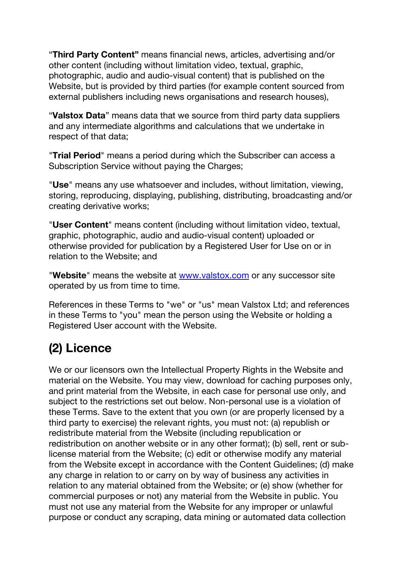"**Third Party Content"** means financial news, articles, advertising and/or other content (including without limitation video, textual, graphic, photographic, audio and audio-visual content) that is published on the Website, but is provided by third parties (for example content sourced from external publishers including news organisations and research houses),

"**Valstox Data**" means data that we source from third party data suppliers and any intermediate algorithms and calculations that we undertake in respect of that data;

"**Trial Period**" means a period during which the Subscriber can access a Subscription Service without paying the Charges;

"**Use**" means any use whatsoever and includes, without limitation, viewing, storing, reproducing, displaying, publishing, distributing, broadcasting and/or creating derivative works;

"**User Content**" means content (including without limitation video, textual, graphic, photographic, audio and audio-visual content) uploaded or otherwise provided for publication by a Registered User for Use on or in relation to the Website; and

"**Website**" means the website at www.valstox.com or any successor site operated by us from time to time.

References in these Terms to "we" or "us" mean Valstox Ltd; and references in these Terms to "you" mean the person using the Website or holding a Registered User account with the Website.

### **(2) Licence**

We or our licensors own the Intellectual Property Rights in the Website and material on the Website. You may view, download for caching purposes only, and print material from the Website, in each case for personal use only, and subject to the restrictions set out below. Non-personal use is a violation of these Terms. Save to the extent that you own (or are properly licensed by a third party to exercise) the relevant rights, you must not: (a) republish or redistribute material from the Website (including republication or redistribution on another website or in any other format); (b) sell, rent or sublicense material from the Website; (c) edit or otherwise modify any material from the Website except in accordance with the Content Guidelines; (d) make any charge in relation to or carry on by way of business any activities in relation to any material obtained from the Website; or (e) show (whether for commercial purposes or not) any material from the Website in public. You must not use any material from the Website for any improper or unlawful purpose or conduct any scraping, data mining or automated data collection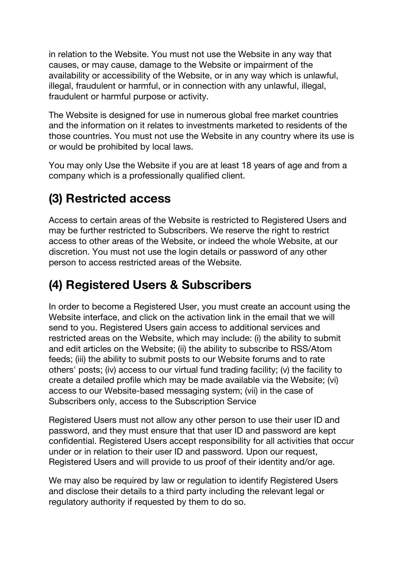in relation to the Website. You must not use the Website in any way that causes, or may cause, damage to the Website or impairment of the availability or accessibility of the Website, or in any way which is unlawful, illegal, fraudulent or harmful, or in connection with any unlawful, illegal, fraudulent or harmful purpose or activity.

The Website is designed for use in numerous global free market countries and the information on it relates to investments marketed to residents of the those countries. You must not use the Website in any country where its use is or would be prohibited by local laws.

You may only Use the Website if you are at least 18 years of age and from a company which is a professionally qualified client.

### **(3) Restricted access**

Access to certain areas of the Website is restricted to Registered Users and may be further restricted to Subscribers. We reserve the right to restrict access to other areas of the Website, or indeed the whole Website, at our discretion. You must not use the login details or password of any other person to access restricted areas of the Website.

### **(4) Registered Users & Subscribers**

In order to become a Registered User, you must create an account using the Website interface, and click on the activation link in the email that we will send to you. Registered Users gain access to additional services and restricted areas on the Website, which may include: (i) the ability to submit and edit articles on the Website; (ii) the ability to subscribe to RSS/Atom feeds; (iii) the ability to submit posts to our Website forums and to rate others' posts; (iv) access to our virtual fund trading facility; (v) the facility to create a detailed profile which may be made available via the Website; (vi) access to our Website-based messaging system; (vii) in the case of Subscribers only, access to the Subscription Service

Registered Users must not allow any other person to use their user ID and password, and they must ensure that that user ID and password are kept confidential. Registered Users accept responsibility for all activities that occur under or in relation to their user ID and password. Upon our request, Registered Users and will provide to us proof of their identity and/or age.

We may also be required by law or requiation to identify Registered Users and disclose their details to a third party including the relevant legal or regulatory authority if requested by them to do so.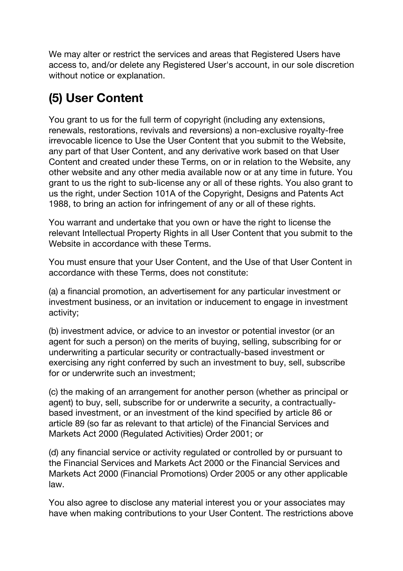We may alter or restrict the services and areas that Registered Users have access to, and/or delete any Registered User's account, in our sole discretion without notice or explanation.

### **(5) User Content**

You grant to us for the full term of copyright (including any extensions, renewals, restorations, revivals and reversions) a non-exclusive royalty-free irrevocable licence to Use the User Content that you submit to the Website, any part of that User Content, and any derivative work based on that User Content and created under these Terms, on or in relation to the Website, any other website and any other media available now or at any time in future. You grant to us the right to sub-license any or all of these rights. You also grant to us the right, under Section 101A of the Copyright, Designs and Patents Act 1988, to bring an action for infringement of any or all of these rights.

You warrant and undertake that you own or have the right to license the relevant Intellectual Property Rights in all User Content that you submit to the Website in accordance with these Terms.

You must ensure that your User Content, and the Use of that User Content in accordance with these Terms, does not constitute:

(a) a financial promotion, an advertisement for any particular investment or investment business, or an invitation or inducement to engage in investment activity;

(b) investment advice, or advice to an investor or potential investor (or an agent for such a person) on the merits of buying, selling, subscribing for or underwriting a particular security or contractually-based investment or exercising any right conferred by such an investment to buy, sell, subscribe for or underwrite such an investment;

(c) the making of an arrangement for another person (whether as principal or agent) to buy, sell, subscribe for or underwrite a security, a contractuallybased investment, or an investment of the kind specified by article 86 or article 89 (so far as relevant to that article) of the Financial Services and Markets Act 2000 (Regulated Activities) Order 2001; or

(d) any financial service or activity regulated or controlled by or pursuant to the Financial Services and Markets Act 2000 or the Financial Services and Markets Act 2000 (Financial Promotions) Order 2005 or any other applicable law.

You also agree to disclose any material interest you or your associates may have when making contributions to your User Content. The restrictions above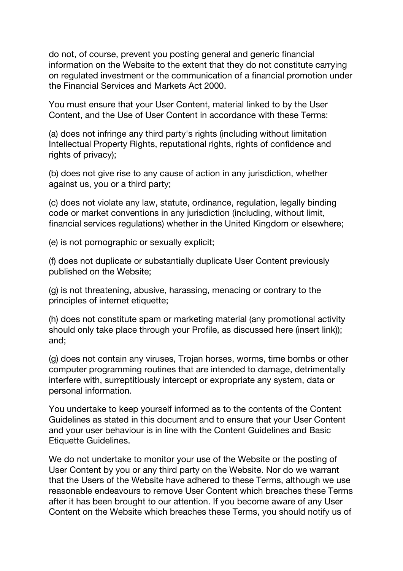do not, of course, prevent you posting general and generic financial information on the Website to the extent that they do not constitute carrying on regulated investment or the communication of a financial promotion under the Financial Services and Markets Act 2000.

You must ensure that your User Content, material linked to by the User Content, and the Use of User Content in accordance with these Terms:

(a) does not infringe any third party's rights (including without limitation Intellectual Property Rights, reputational rights, rights of confidence and rights of privacy);

(b) does not give rise to any cause of action in any jurisdiction, whether against us, you or a third party;

(c) does not violate any law, statute, ordinance, regulation, legally binding code or market conventions in any jurisdiction (including, without limit, financial services regulations) whether in the United Kingdom or elsewhere;

(e) is not pornographic or sexually explicit;

(f) does not duplicate or substantially duplicate User Content previously published on the Website;

(g) is not threatening, abusive, harassing, menacing or contrary to the principles of internet etiquette;

(h) does not constitute spam or marketing material (any promotional activity should only take place through your Profile, as discussed here (insert link)); and;

(g) does not contain any viruses, Trojan horses, worms, time bombs or other computer programming routines that are intended to damage, detrimentally interfere with, surreptitiously intercept or expropriate any system, data or personal information.

You undertake to keep yourself informed as to the contents of the Content Guidelines as stated in this document and to ensure that your User Content and your user behaviour is in line with the Content Guidelines and Basic Etiquette Guidelines.

We do not undertake to monitor your use of the Website or the posting of User Content by you or any third party on the Website. Nor do we warrant that the Users of the Website have adhered to these Terms, although we use reasonable endeavours to remove User Content which breaches these Terms after it has been brought to our attention. If you become aware of any User Content on the Website which breaches these Terms, you should notify us of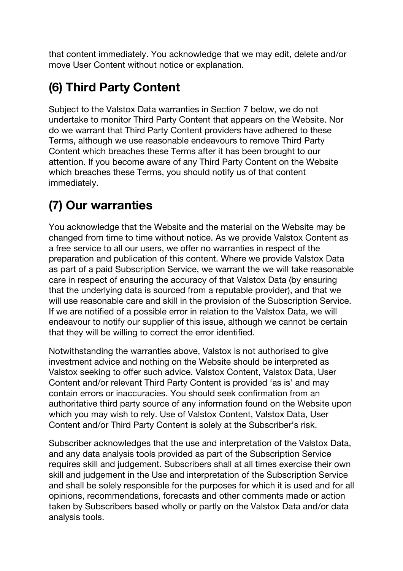that content immediately. You acknowledge that we may edit, delete and/or move User Content without notice or explanation.

### **(6) Third Party Content**

Subject to the Valstox Data warranties in Section 7 below, we do not undertake to monitor Third Party Content that appears on the Website. Nor do we warrant that Third Party Content providers have adhered to these Terms, although we use reasonable endeavours to remove Third Party Content which breaches these Terms after it has been brought to our attention. If you become aware of any Third Party Content on the Website which breaches these Terms, you should notify us of that content immediately.

### **(7) Our warranties**

You acknowledge that the Website and the material on the Website may be changed from time to time without notice. As we provide Valstox Content as a free service to all our users, we offer no warranties in respect of the preparation and publication of this content. Where we provide Valstox Data as part of a paid Subscription Service, we warrant the we will take reasonable care in respect of ensuring the accuracy of that Valstox Data (by ensuring that the underlying data is sourced from a reputable provider), and that we will use reasonable care and skill in the provision of the Subscription Service. If we are notified of a possible error in relation to the Valstox Data, we will endeavour to notify our supplier of this issue, although we cannot be certain that they will be willing to correct the error identified.

Notwithstanding the warranties above, Valstox is not authorised to give investment advice and nothing on the Website should be interpreted as Valstox seeking to offer such advice. Valstox Content, Valstox Data, User Content and/or relevant Third Party Content is provided 'as is' and may contain errors or inaccuracies. You should seek confirmation from an authoritative third party source of any information found on the Website upon which you may wish to rely. Use of Valstox Content, Valstox Data, User Content and/or Third Party Content is solely at the Subscriber's risk.

Subscriber acknowledges that the use and interpretation of the Valstox Data, and any data analysis tools provided as part of the Subscription Service requires skill and judgement. Subscribers shall at all times exercise their own skill and judgement in the Use and interpretation of the Subscription Service and shall be solely responsible for the purposes for which it is used and for all opinions, recommendations, forecasts and other comments made or action taken by Subscribers based wholly or partly on the Valstox Data and/or data analysis tools.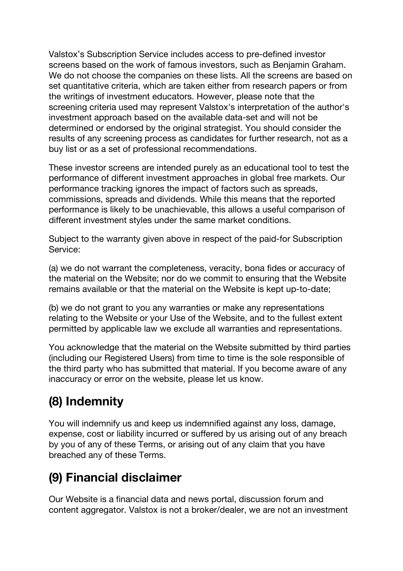Valstox's Subscription Service includes access to pre-defined investor screens based on the work of famous investors, such as Benjamin Graham. We do not choose the companies on these lists. All the screens are based on set quantitative criteria, which are taken either from research papers or from the writings of investment educators. However, please note that the screening criteria used may represent Valstox's interpretation of the author's investment approach based on the available data-set and will not be determined or endorsed by the original strategist. You should consider the results of any screening process as candidates for further research, not as a buy list or as a set of professional recommendations.

These investor screens are intended purely as an educational tool to test the performance of different investment approaches in global free markets. Our performance tracking ignores the impact of factors such as spreads, commissions, spreads and dividends. While this means that the reported performance is likely to be unachievable, this allows a useful comparison of different investment styles under the same market conditions.

Subject to the warranty given above in respect of the paid-for Subscription Service:

(a) we do not warrant the completeness, veracity, bona fides or accuracy of the material on the Website; nor do we commit to ensuring that the Website remains available or that the material on the Website is kept up-to-date;

(b) we do not grant to you any warranties or make any representations relating to the Website or your Use of the Website, and to the fullest extent permitted by applicable law we exclude all warranties and representations.

You acknowledge that the material on the Website submitted by third parties (including our Registered Users) from time to time is the sole responsible of the third party who has submitted that material. If you become aware of any inaccuracy or error on the website, please let us know.

### **(8) Indemnity**

You will indemnify us and keep us indemnified against any loss, damage, expense, cost or liability incurred or suffered by us arising out of any breach by you of any of these Terms, or arising out of any claim that you have breached any of these Terms.

### **(9) Financial disclaimer**

Our Website is a financial data and news portal, discussion forum and content aggregator. Valstox is not a broker/dealer, we are not an investment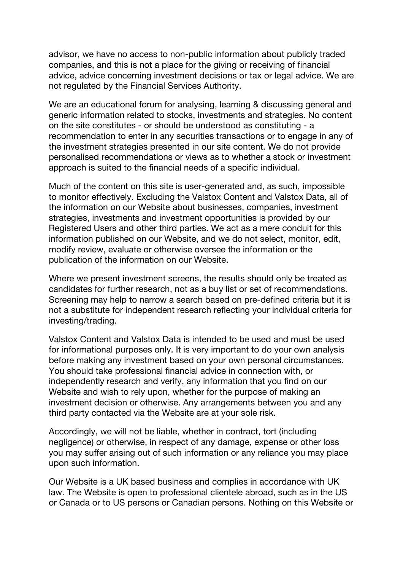advisor, we have no access to non-public information about publicly traded companies, and this is not a place for the giving or receiving of financial advice, advice concerning investment decisions or tax or legal advice. We are not regulated by the Financial Services Authority.

We are an educational forum for analysing, learning & discussing general and generic information related to stocks, investments and strategies. No content on the site constitutes - or should be understood as constituting - a recommendation to enter in any securities transactions or to engage in any of the investment strategies presented in our site content. We do not provide personalised recommendations or views as to whether a stock or investment approach is suited to the financial needs of a specific individual.

Much of the content on this site is user-generated and, as such, impossible to monitor effectively. Excluding the Valstox Content and Valstox Data, all of the information on our Website about businesses, companies, investment strategies, investments and investment opportunities is provided by our Registered Users and other third parties. We act as a mere conduit for this information published on our Website, and we do not select, monitor, edit, modify review, evaluate or otherwise oversee the information or the publication of the information on our Website.

Where we present investment screens, the results should only be treated as candidates for further research, not as a buy list or set of recommendations. Screening may help to narrow a search based on pre-defined criteria but it is not a substitute for independent research reflecting your individual criteria for investing/trading.

Valstox Content and Valstox Data is intended to be used and must be used for informational purposes only. It is very important to do your own analysis before making any investment based on your own personal circumstances. You should take professional financial advice in connection with, or independently research and verify, any information that you find on our Website and wish to rely upon, whether for the purpose of making an investment decision or otherwise. Any arrangements between you and any third party contacted via the Website are at your sole risk.

Accordingly, we will not be liable, whether in contract, tort (including negligence) or otherwise, in respect of any damage, expense or other loss you may suffer arising out of such information or any reliance you may place upon such information.

Our Website is a UK based business and complies in accordance with UK law. The Website is open to professional clientele abroad, such as in the US or Canada or to US persons or Canadian persons. Nothing on this Website or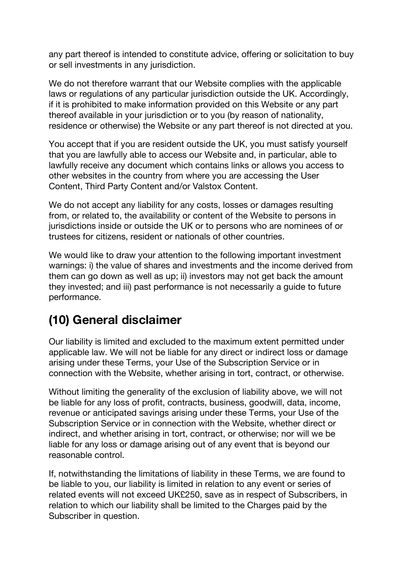any part thereof is intended to constitute advice, offering or solicitation to buy or sell investments in any jurisdiction.

We do not therefore warrant that our Website complies with the applicable laws or regulations of any particular jurisdiction outside the UK. Accordingly, if it is prohibited to make information provided on this Website or any part thereof available in your jurisdiction or to you (by reason of nationality, residence or otherwise) the Website or any part thereof is not directed at you.

You accept that if you are resident outside the UK, you must satisfy yourself that you are lawfully able to access our Website and, in particular, able to lawfully receive any document which contains links or allows you access to other websites in the country from where you are accessing the User Content, Third Party Content and/or Valstox Content.

We do not accept any liability for any costs, losses or damages resulting from, or related to, the availability or content of the Website to persons in jurisdictions inside or outside the UK or to persons who are nominees of or trustees for citizens, resident or nationals of other countries.

We would like to draw your attention to the following important investment warnings: i) the value of shares and investments and the income derived from them can go down as well as up; ii) investors may not get back the amount they invested; and iii) past performance is not necessarily a guide to future performance.

#### **(10) General disclaimer**

Our liability is limited and excluded to the maximum extent permitted under applicable law. We will not be liable for any direct or indirect loss or damage arising under these Terms, your Use of the Subscription Service or in connection with the Website, whether arising in tort, contract, or otherwise.

Without limiting the generality of the exclusion of liability above, we will not be liable for any loss of profit, contracts, business, goodwill, data, income, revenue or anticipated savings arising under these Terms, your Use of the Subscription Service or in connection with the Website, whether direct or indirect, and whether arising in tort, contract, or otherwise; nor will we be liable for any loss or damage arising out of any event that is beyond our reasonable control.

If, notwithstanding the limitations of liability in these Terms, we are found to be liable to you, our liability is limited in relation to any event or series of related events will not exceed UK£250, save as in respect of Subscribers, in relation to which our liability shall be limited to the Charges paid by the Subscriber in question.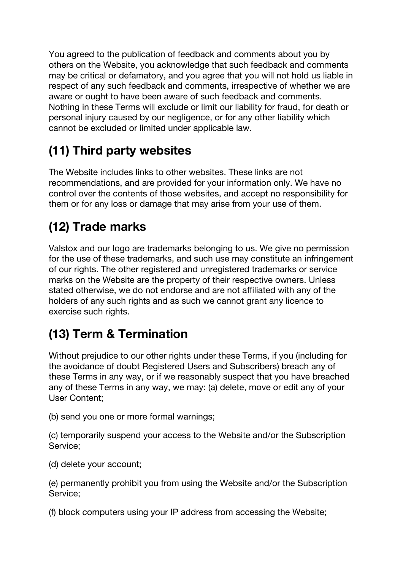You agreed to the publication of feedback and comments about you by others on the Website, you acknowledge that such feedback and comments may be critical or defamatory, and you agree that you will not hold us liable in respect of any such feedback and comments, irrespective of whether we are aware or ought to have been aware of such feedback and comments. Nothing in these Terms will exclude or limit our liability for fraud, for death or personal injury caused by our negligence, or for any other liability which cannot be excluded or limited under applicable law.

### **(11) Third party websites**

The Website includes links to other websites. These links are not recommendations, and are provided for your information only. We have no control over the contents of those websites, and accept no responsibility for them or for any loss or damage that may arise from your use of them.

### **(12) Trade marks**

Valstox and our logo are trademarks belonging to us. We give no permission for the use of these trademarks, and such use may constitute an infringement of our rights. The other registered and unregistered trademarks or service marks on the Website are the property of their respective owners. Unless stated otherwise, we do not endorse and are not affiliated with any of the holders of any such rights and as such we cannot grant any licence to exercise such rights.

### **(13) Term & Termination**

Without prejudice to our other rights under these Terms, if you (including for the avoidance of doubt Registered Users and Subscribers) breach any of these Terms in any way, or if we reasonably suspect that you have breached any of these Terms in any way, we may: (a) delete, move or edit any of your User Content;

(b) send you one or more formal warnings;

(c) temporarily suspend your access to the Website and/or the Subscription Service;

(d) delete your account;

(e) permanently prohibit you from using the Website and/or the Subscription Service;

(f) block computers using your IP address from accessing the Website;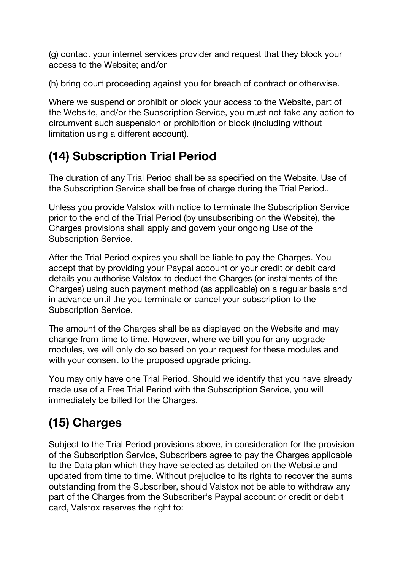(g) contact your internet services provider and request that they block your access to the Website; and/or

(h) bring court proceeding against you for breach of contract or otherwise.

Where we suspend or prohibit or block your access to the Website, part of the Website, and/or the Subscription Service, you must not take any action to circumvent such suspension or prohibition or block (including without limitation using a different account).

### **(14) Subscription Trial Period**

The duration of any Trial Period shall be as specified on the Website. Use of the Subscription Service shall be free of charge during the Trial Period..

Unless you provide Valstox with notice to terminate the Subscription Service prior to the end of the Trial Period (by unsubscribing on the Website), the Charges provisions shall apply and govern your ongoing Use of the Subscription Service.

After the Trial Period expires you shall be liable to pay the Charges. You accept that by providing your Paypal account or your credit or debit card details you authorise Valstox to deduct the Charges (or instalments of the Charges) using such payment method (as applicable) on a regular basis and in advance until the you terminate or cancel your subscription to the Subscription Service.

The amount of the Charges shall be as displayed on the Website and may change from time to time. However, where we bill you for any upgrade modules, we will only do so based on your request for these modules and with your consent to the proposed upgrade pricing.

You may only have one Trial Period. Should we identify that you have already made use of a Free Trial Period with the Subscription Service, you will immediately be billed for the Charges.

## **(15) Charges**

Subject to the Trial Period provisions above, in consideration for the provision of the Subscription Service, Subscribers agree to pay the Charges applicable to the Data plan which they have selected as detailed on the Website and updated from time to time. Without prejudice to its rights to recover the sums outstanding from the Subscriber, should Valstox not be able to withdraw any part of the Charges from the Subscriber's Paypal account or credit or debit card, Valstox reserves the right to: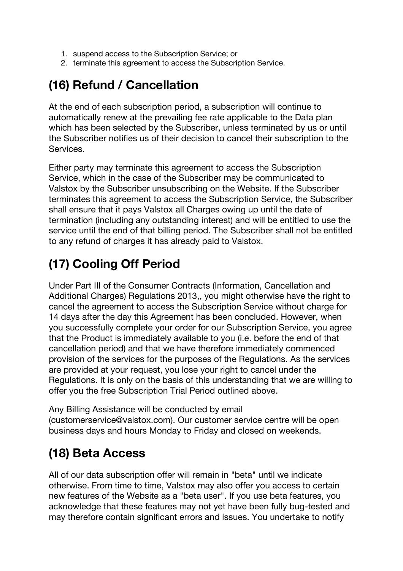- 1. suspend access to the Subscription Service; or
- 2. terminate this agreement to access the Subscription Service.

#### **(16) Refund / Cancellation**

At the end of each subscription period, a subscription will continue to automatically renew at the prevailing fee rate applicable to the Data plan which has been selected by the Subscriber, unless terminated by us or until the Subscriber notifies us of their decision to cancel their subscription to the **Services** 

Either party may terminate this agreement to access the Subscription Service, which in the case of the Subscriber may be communicated to Valstox by the Subscriber unsubscribing on the Website. If the Subscriber terminates this agreement to access the Subscription Service, the Subscriber shall ensure that it pays Valstox all Charges owing up until the date of termination (including any outstanding interest) and will be entitled to use the service until the end of that billing period. The Subscriber shall not be entitled to any refund of charges it has already paid to Valstox.

### **(17) Cooling Off Period**

Under Part III of the Consumer Contracts (Information, Cancellation and Additional Charges) Regulations 2013,, you might otherwise have the right to cancel the agreement to access the Subscription Service without charge for 14 days after the day this Agreement has been concluded. However, when you successfully complete your order for our Subscription Service, you agree that the Product is immediately available to you (i.e. before the end of that cancellation period) and that we have therefore immediately commenced provision of the services for the purposes of the Regulations. As the services are provided at your request, you lose your right to cancel under the Regulations. It is only on the basis of this understanding that we are willing to offer you the free Subscription Trial Period outlined above.

Any Billing Assistance will be conducted by email (customerservice@valstox.com). Our customer service centre will be open business days and hours Monday to Friday and closed on weekends.

### **(18) Beta Access**

All of our data subscription offer will remain in "beta" until we indicate otherwise. From time to time, Valstox may also offer you access to certain new features of the Website as a "beta user". If you use beta features, you acknowledge that these features may not yet have been fully bug-tested and may therefore contain significant errors and issues. You undertake to notify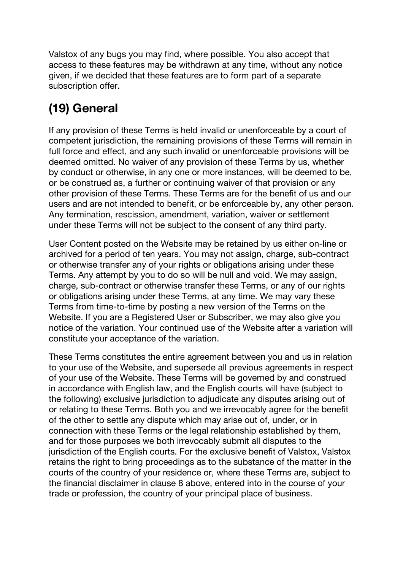Valstox of any bugs you may find, where possible. You also accept that access to these features may be withdrawn at any time, without any notice given, if we decided that these features are to form part of a separate subscription offer.

### **(19) General**

If any provision of these Terms is held invalid or unenforceable by a court of competent jurisdiction, the remaining provisions of these Terms will remain in full force and effect, and any such invalid or unenforceable provisions will be deemed omitted. No waiver of any provision of these Terms by us, whether by conduct or otherwise, in any one or more instances, will be deemed to be, or be construed as, a further or continuing waiver of that provision or any other provision of these Terms. These Terms are for the benefit of us and our users and are not intended to benefit, or be enforceable by, any other person. Any termination, rescission, amendment, variation, waiver or settlement under these Terms will not be subject to the consent of any third party.

User Content posted on the Website may be retained by us either on-line or archived for a period of ten years. You may not assign, charge, sub-contract or otherwise transfer any of your rights or obligations arising under these Terms. Any attempt by you to do so will be null and void. We may assign, charge, sub-contract or otherwise transfer these Terms, or any of our rights or obligations arising under these Terms, at any time. We may vary these Terms from time-to-time by posting a new version of the Terms on the Website. If you are a Registered User or Subscriber, we may also give you notice of the variation. Your continued use of the Website after a variation will constitute your acceptance of the variation.

These Terms constitutes the entire agreement between you and us in relation to your use of the Website, and supersede all previous agreements in respect of your use of the Website. These Terms will be governed by and construed in accordance with English law, and the English courts will have (subject to the following) exclusive jurisdiction to adjudicate any disputes arising out of or relating to these Terms. Both you and we irrevocably agree for the benefit of the other to settle any dispute which may arise out of, under, or in connection with these Terms or the legal relationship established by them, and for those purposes we both irrevocably submit all disputes to the jurisdiction of the English courts. For the exclusive benefit of Valstox, Valstox retains the right to bring proceedings as to the substance of the matter in the courts of the country of your residence or, where these Terms are, subject to the financial disclaimer in clause 8 above, entered into in the course of your trade or profession, the country of your principal place of business.